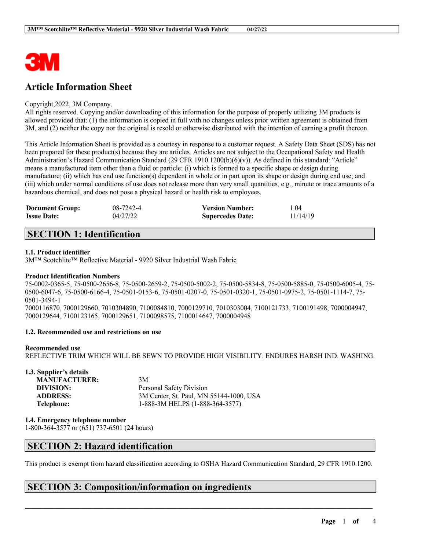

# **Article Information Sheet**

#### Copyright,2022, 3M Company.

All rights reserved. Copying and/or downloading of this information for the purpose of properly utilizing 3M products is allowed provided that: (1) the information is copied in full with no changes unless prior written agreement is obtained from 3M, and (2) neither the copy nor the original is resold or otherwise distributed with the intention of earning a profit thereon.

This Article Information Sheet is provided as a courtesy in response to a customer request. A Safety Data Sheet (SDS) has not been prepared for these product(s) because they are articles. Articles are not subject to the Occupational Safety and Health Administration's Hazard Communication Standard (29 CFR 1910.1200(b)(6)(v)). As defined in this standard: "Article" means a manufactured item other than a fluid or particle: (i) which is formed to a specific shape or design during manufacture; (ii) which has end use function(s) dependent in whole or in part upon its shape or design during end use; and (iii) which under normal conditions of use does not release more than very small quantities, e.g., minute or trace amounts of a hazardous chemical, and does not pose a physical hazard or health risk to employees.

| <b>Document Group:</b> | 08-7242-4 | <b>Version Number:</b>  | 1.04     |
|------------------------|-----------|-------------------------|----------|
| <b>Issue Date:</b>     | 04/27/22  | <b>Supercedes Date:</b> | 11/14/19 |

# **SECTION 1: Identification**

### **1.1. Product identifier**

3M™ Scotchlite™ Reflective Material - 9920 Silver Industrial Wash Fabric

### **Product Identification Numbers**

75-0002-0365-5, 75-0500-2656-8, 75-0500-2659-2, 75-0500-5002-2, 75-0500-5834-8, 75-0500-5885-0, 75-0500-6005-4, 75- 0500-6047-6, 75-0500-6166-4, 75-0501-0153-6, 75-0501-0207-0, 75-0501-0320-1, 75-0501-0975-2, 75-0501-1114-7, 75- 0501-3494-1 7000116870, 7000129660, 7010304890, 7100084810, 7000129710, 7010303004, 7100121733, 7100191498, 7000004947, 7000129644, 7100123165, 7000129651, 7100098575, 7100014647, 7000004948

### **1.2. Recommended use and restrictions on use**

### **Recommended use**

REFLECTIVE TRIM WHICH WILL BE SEWN TO PROVIDE HIGH VISIBILITY. ENDURES HARSH IND. WASHING.

| 1.3. Supplier's details |                                         |
|-------------------------|-----------------------------------------|
| <b>MANUFACTURER:</b>    | 3M                                      |
| DIVISION:               | Personal Safety Division                |
| <b>ADDRESS:</b>         | 3M Center, St. Paul, MN 55144-1000, USA |
| Telephone:              | 1-888-3M HELPS (1-888-364-3577)         |

**1.4. Emergency telephone number**

1-800-364-3577 or (651) 737-6501 (24 hours)

# **SECTION 2: Hazard identification**

This product is exempt from hazard classification according to OSHA Hazard Communication Standard, 29 CFR 1910.1200.

 $\mathcal{L}_\mathcal{L} = \mathcal{L}_\mathcal{L} = \mathcal{L}_\mathcal{L} = \mathcal{L}_\mathcal{L} = \mathcal{L}_\mathcal{L} = \mathcal{L}_\mathcal{L} = \mathcal{L}_\mathcal{L} = \mathcal{L}_\mathcal{L} = \mathcal{L}_\mathcal{L} = \mathcal{L}_\mathcal{L} = \mathcal{L}_\mathcal{L} = \mathcal{L}_\mathcal{L} = \mathcal{L}_\mathcal{L} = \mathcal{L}_\mathcal{L} = \mathcal{L}_\mathcal{L} = \mathcal{L}_\mathcal{L} = \mathcal{L}_\mathcal{L}$ 

## **SECTION 3: Composition/information on ingredients**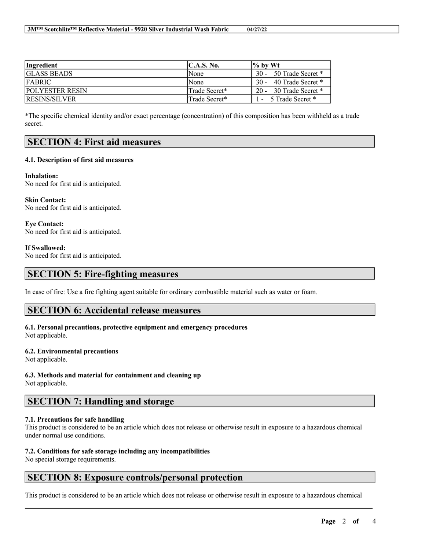| Ingredient             | $\mathbf{C}.\mathbf{A}.\mathbf{S}.\mathbf{No}.$ | $\frac{1}{6}$ by Wt         |
|------------------------|-------------------------------------------------|-----------------------------|
| <b>IGLASS BEADS</b>    | None                                            | 50 Trade Secret *<br>$30 -$ |
| <b>FABRIC</b>          | <b>None</b>                                     | 40 Trade Secret *<br>$30 -$ |
| <b>POLYESTER RESIN</b> | Trade Secret*                                   | 30 Trade Secret *<br>$20 -$ |
| <b>RESINS/SILVER</b>   | Trade Secret*                                   | - 5 Trade Secret *          |

\*The specific chemical identity and/or exact percentage (concentration) of this composition has been withheld as a trade secret.

## **SECTION 4: First aid measures**

#### **4.1. Description of first aid measures**

**Inhalation:** No need for first aid is anticipated.

**Skin Contact:** No need for first aid is anticipated.

**Eye Contact:** No need for first aid is anticipated.

**If Swallowed:**

No need for first aid is anticipated.

### **SECTION 5: Fire-fighting measures**

In case of fire: Use a fire fighting agent suitable for ordinary combustible material such as water or foam.

### **SECTION 6: Accidental release measures**

#### **6.1. Personal precautions, protective equipment and emergency procedures** Not applicable.

### **6.2. Environmental precautions**

Not applicable.

**6.3. Methods and material for containment and cleaning up**

Not applicable.

## **SECTION 7: Handling and storage**

### **7.1. Precautions for safe handling**

This product is considered to be an article which does not release or otherwise result in exposure to a hazardous chemical under normal use conditions.

### **7.2. Conditions for safe storage including any incompatibilities**

No special storage requirements.

# **SECTION 8: Exposure controls/personal protection**

This product is considered to be an article which does not release or otherwise result in exposure to a hazardous chemical

 $\mathcal{L}_\mathcal{L} = \mathcal{L}_\mathcal{L} = \mathcal{L}_\mathcal{L} = \mathcal{L}_\mathcal{L} = \mathcal{L}_\mathcal{L} = \mathcal{L}_\mathcal{L} = \mathcal{L}_\mathcal{L} = \mathcal{L}_\mathcal{L} = \mathcal{L}_\mathcal{L} = \mathcal{L}_\mathcal{L} = \mathcal{L}_\mathcal{L} = \mathcal{L}_\mathcal{L} = \mathcal{L}_\mathcal{L} = \mathcal{L}_\mathcal{L} = \mathcal{L}_\mathcal{L} = \mathcal{L}_\mathcal{L} = \mathcal{L}_\mathcal{L}$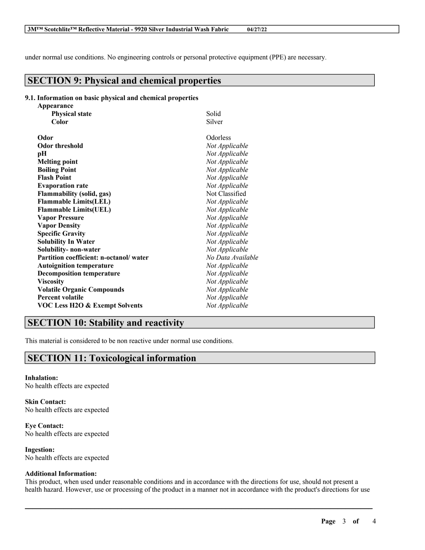under normal use conditions. No engineering controls or personal protective equipment (PPE) are necessary.

# **SECTION 9: Physical and chemical properties**

#### **9.1. Information on basic physical and chemical properties**

| Appearance                                |                   |
|-------------------------------------------|-------------------|
| <b>Physical state</b>                     | Solid             |
| Color                                     | Silver            |
| Odor                                      | Odorless          |
| <b>Odor threshold</b>                     | Not Applicable    |
| pН                                        | Not Applicable    |
| <b>Melting point</b>                      | Not Applicable    |
| <b>Boiling Point</b>                      | Not Applicable    |
| <b>Flash Point</b>                        | Not Applicable    |
| <b>Evaporation rate</b>                   | Not Applicable    |
| <b>Flammability (solid, gas)</b>          | Not Classified    |
| <b>Flammable Limits(LEL)</b>              | Not Applicable    |
| <b>Flammable Limits(UEL)</b>              | Not Applicable    |
| <b>Vapor Pressure</b>                     | Not Applicable    |
| <b>Vapor Density</b>                      | Not Applicable    |
| <b>Specific Gravity</b>                   | Not Applicable    |
| <b>Solubility In Water</b>                | Not Applicable    |
| Solubility- non-water                     | Not Applicable    |
| Partition coefficient: n-octanol/water    | No Data Available |
| <b>Autoignition temperature</b>           | Not Applicable    |
| <b>Decomposition temperature</b>          | Not Applicable    |
| <b>Viscosity</b>                          | Not Applicable    |
| <b>Volatile Organic Compounds</b>         | Not Applicable    |
| <b>Percent volatile</b>                   | Not Applicable    |
| <b>VOC Less H2O &amp; Exempt Solvents</b> | Not Applicable    |
|                                           |                   |

## **SECTION 10: Stability and reactivity**

This material is considered to be non reactive under normal use conditions.

# **SECTION 11: Toxicological information**

**Inhalation:** No health effects are expected

**Skin Contact:** No health effects are expected

**Eye Contact:** No health effects are expected

**Ingestion:** No health effects are expected

### **Additional Information:**

This product, when used under reasonable conditions and in accordance with the directions for use, should not present a health hazard. However, use or processing of the product in a manner not in accordance with the product's directions for use

 $\mathcal{L}_\mathcal{L} = \mathcal{L}_\mathcal{L} = \mathcal{L}_\mathcal{L} = \mathcal{L}_\mathcal{L} = \mathcal{L}_\mathcal{L} = \mathcal{L}_\mathcal{L} = \mathcal{L}_\mathcal{L} = \mathcal{L}_\mathcal{L} = \mathcal{L}_\mathcal{L} = \mathcal{L}_\mathcal{L} = \mathcal{L}_\mathcal{L} = \mathcal{L}_\mathcal{L} = \mathcal{L}_\mathcal{L} = \mathcal{L}_\mathcal{L} = \mathcal{L}_\mathcal{L} = \mathcal{L}_\mathcal{L} = \mathcal{L}_\mathcal{L}$